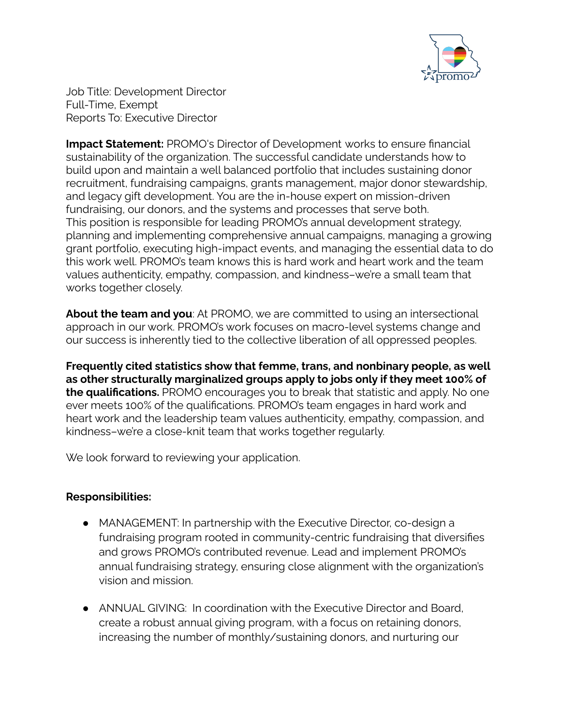

Job Title: Development Director Full-Time, Exempt Reports To: Executive Director

**Impact Statement:** PROMO's Director of Development works to ensure financial sustainability of the organization. The successful candidate understands how to build upon and maintain a well balanced portfolio that includes sustaining donor recruitment, fundraising campaigns, grants management, major donor stewardship, and legacy gift development. You are the in-house expert on mission-driven fundraising, our donors, and the systems and processes that serve both. This position is responsible for leading PROMO's annual development strategy, planning and implementing comprehensive annual campaigns, managing a growing grant portfolio, executing high-impact events, and managing the essential data to do this work well. PROMO's team knows this is hard work and heart work and the team values authenticity, empathy, compassion, and kindness–we're a small team that works together closely.

**About the team and you**: At PROMO, we are committed to using an intersectional approach in our work. PROMO's work focuses on macro-level systems change and our success is inherently tied to the collective liberation of all oppressed peoples.

**Frequently cited statistics show that femme, trans, and nonbinary people, as well as other structurally marginalized groups apply to jobs only if they meet 100% of the qualifications.** PROMO encourages you to break that statistic and apply. No one ever meets 100% of the qualifications. PROMO's team engages in hard work and heart work and the leadership team values authenticity, empathy, compassion, and kindness–we're a close-knit team that works together regularly.

We look forward to reviewing your application.

## **Responsibilities:**

- MANAGEMENT: In partnership with the Executive Director, co-design a fundraising program rooted in community-centric fundraising that diversifies and grows PROMO's contributed revenue. Lead and implement PROMO's annual fundraising strategy, ensuring close alignment with the organization's vision and mission.
- ANNUAL GIVING: In coordination with the Executive Director and Board, create a robust annual giving program, with a focus on retaining donors, increasing the number of monthly/sustaining donors, and nurturing our